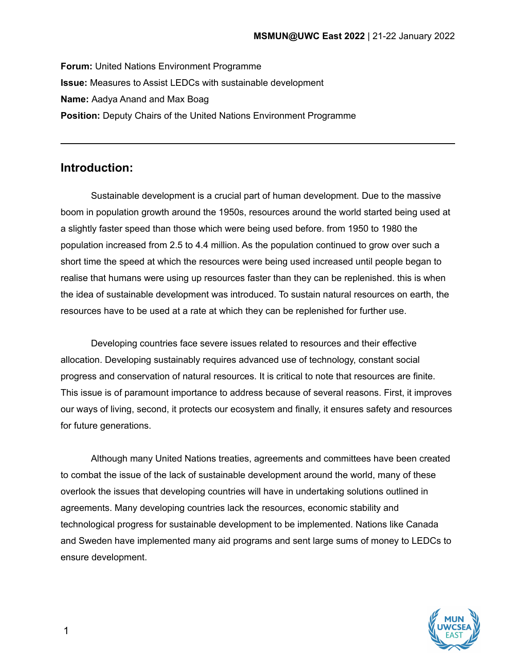**Forum:** United Nations Environment Programme **Issue:** Measures to Assist LEDCs with sustainable development **Name:** Aadya Anand and Max Boag **Position:** Deputy Chairs of the United Nations Environment Programme

### **Introduction:**

Sustainable development is a crucial part of human development. Due to the massive boom in population growth around the 1950s, resources around the world started being used at a slightly faster speed than those which were being used before. from 1950 to 1980 the population increased from 2.5 to 4.4 million. As the population continued to grow over such a short time the speed at which the resources were being used increased until people began to realise that humans were using up resources faster than they can be replenished. this is when the idea of sustainable development was introduced. To sustain natural resources on earth, the resources have to be used at a rate at which they can be replenished for further use.

Developing countries face severe issues related to resources and their effective allocation. Developing sustainably requires advanced use of technology, constant social progress and conservation of natural resources. It is critical to note that resources are finite. This issue is of paramount importance to address because of several reasons. First, it improves our ways of living, second, it protects our ecosystem and finally, it ensures safety and resources for future generations.

Although many United Nations treaties, agreements and committees have been created to combat the issue of the lack of sustainable development around the world, many of these overlook the issues that developing countries will have in undertaking solutions outlined in agreements. Many developing countries lack the resources, economic stability and technological progress for sustainable development to be implemented. Nations like Canada and Sweden have implemented many aid programs and sent large sums of money to LEDCs to ensure development.



1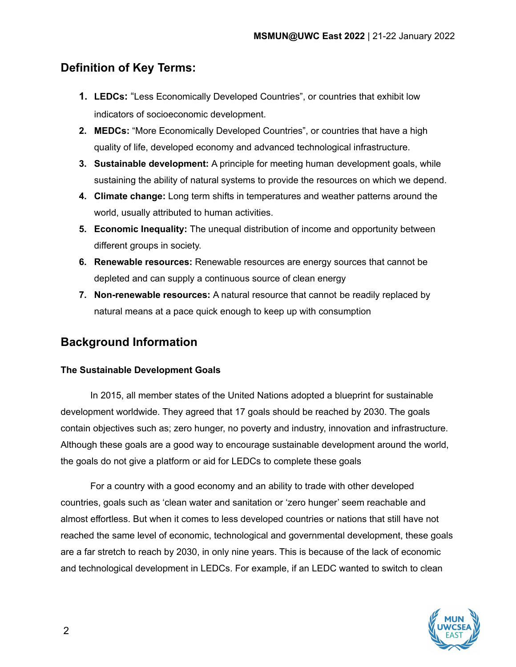## **Definition of Key Terms:**

- **1. LEDCs:** "Less Economically Developed Countries", or countries that exhibit low indicators of socioeconomic development.
- **2. MEDCs:** "More Economically Developed Countries", or countries that have a high quality of life, developed economy and advanced technological infrastructure.
- **3. Sustainable development:** A principle for meeting human development goals, while sustaining the ability of natural systems to provide the resources on which we depend.
- **4. Climate change:** Long term shifts in temperatures and weather patterns around the world, usually attributed to human activities.
- **5. Economic Inequality:** The unequal distribution of income and opportunity between different groups in society.
- **6. Renewable resources:** Renewable resources are energy sources that cannot be depleted and can supply a continuous source of clean energy
- **7. Non-renewable resources:** A natural resource that cannot be readily replaced by natural means at a pace quick enough to keep up with consumption

## **Background Information**

### **The Sustainable Development Goals**

In 2015, all member states of the United Nations adopted a blueprint for sustainable development worldwide. They agreed that 17 goals should be reached by 2030. The goals contain objectives such as; zero hunger, no poverty and industry, innovation and infrastructure. Although these goals are a good way to encourage sustainable development around the world, the goals do not give a platform or aid for LEDCs to complete these goals

For a country with a good economy and an ability to trade with other developed countries, goals such as 'clean water and sanitation or 'zero hunger' seem reachable and almost effortless. But when it comes to less developed countries or nations that still have not reached the same level of economic, technological and governmental development, these goals are a far stretch to reach by 2030, in only nine years. This is because of the lack of economic and technological development in LEDCs. For example, if an LEDC wanted to switch to clean

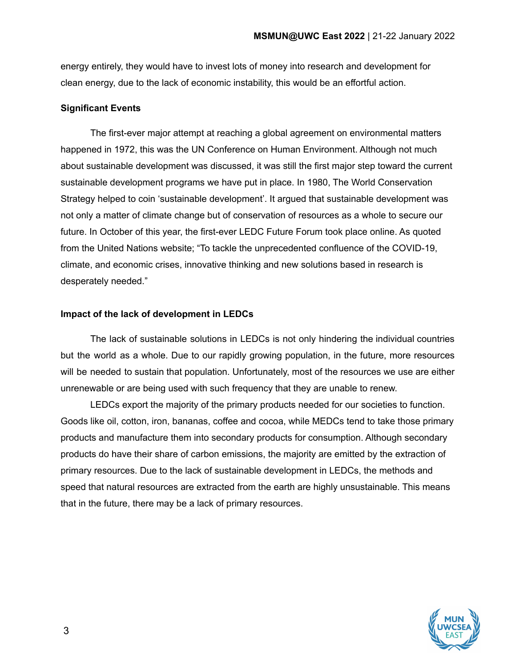energy entirely, they would have to invest lots of money into research and development for clean energy, due to the lack of economic instability, this would be an effortful action.

#### **Significant Events**

The first-ever major attempt at reaching a global agreement on environmental matters happened in 1972, this was the UN Conference on Human Environment. Although not much about sustainable development was discussed, it was still the first major step toward the current sustainable development programs we have put in place. In 1980, The World Conservation Strategy helped to coin 'sustainable development'. It argued that sustainable development was not only a matter of climate change but of conservation of resources as a whole to secure our future. In October of this year, the first-ever LEDC Future Forum took place online. As quoted from the United Nations website; "To tackle the unprecedented confluence of the COVID-19, climate, and economic crises, innovative thinking and new solutions based in research is desperately needed."

#### **Impact of the lack of development in LEDCs**

The lack of sustainable solutions in LEDCs is not only hindering the individual countries but the world as a whole. Due to our rapidly growing population, in the future, more resources will be needed to sustain that population. Unfortunately, most of the resources we use are either unrenewable or are being used with such frequency that they are unable to renew.

LEDCs export the majority of the primary products needed for our societies to function. Goods like oil, cotton, iron, bananas, coffee and cocoa, while MEDCs tend to take those primary products and manufacture them into secondary products for consumption. Although secondary products do have their share of carbon emissions, the majority are emitted by the extraction of primary resources. Due to the lack of sustainable development in LEDCs, the methods and speed that natural resources are extracted from the earth are highly unsustainable. This means that in the future, there may be a lack of primary resources.

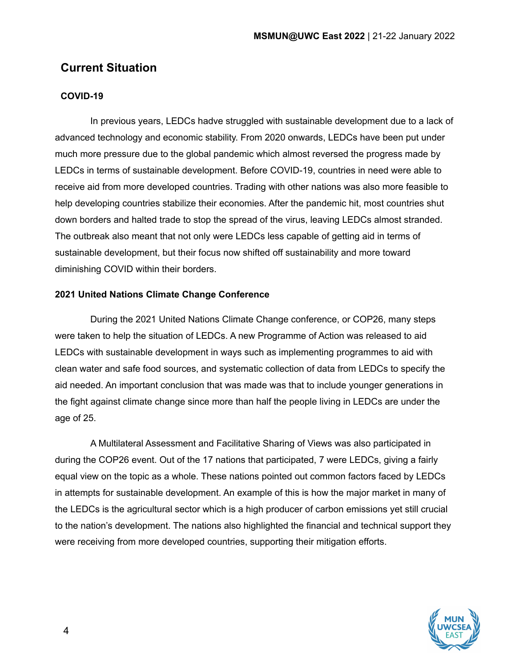## **Current Situation**

#### **COVID-19**

In previous years, LEDCs hadve struggled with sustainable development due to a lack of advanced technology and economic stability. From 2020 onwards, LEDCs have been put under much more pressure due to the global pandemic which almost reversed the progress made by LEDCs in terms of sustainable development. Before COVID-19, countries in need were able to receive aid from more developed countries. Trading with other nations was also more feasible to help developing countries stabilize their economies. After the pandemic hit, most countries shut down borders and halted trade to stop the spread of the virus, leaving LEDCs almost stranded. The outbreak also meant that not only were LEDCs less capable of getting aid in terms of sustainable development, but their focus now shifted off sustainability and more toward diminishing COVID within their borders.

#### **2021 United Nations Climate Change Conference**

During the 2021 United Nations Climate Change conference, or COP26, many steps were taken to help the situation of LEDCs. A new Programme of Action was released to aid LEDCs with sustainable development in ways such as implementing programmes to aid with clean water and safe food sources, and systematic collection of data from LEDCs to specify the aid needed. An important conclusion that was made was that to include younger generations in the fight against climate change since more than half the people living in LEDCs are under the age of 25.

A Multilateral Assessment and Facilitative Sharing of Views was also participated in during the COP26 event. Out of the 17 nations that participated, 7 were LEDCs, giving a fairly equal view on the topic as a whole. These nations pointed out common factors faced by LEDCs in attempts for sustainable development. An example of this is how the major market in many of the LEDCs is the agricultural sector which is a high producer of carbon emissions yet still crucial to the nation's development. The nations also highlighted the financial and technical support they were receiving from more developed countries, supporting their mitigation efforts.

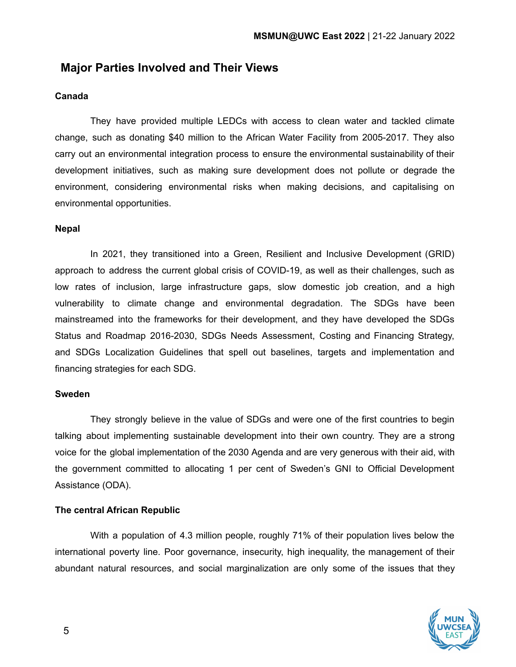## **Major Parties Involved and Their Views**

#### **Canada**

They have provided multiple LEDCs with access to clean water and tackled climate change, such as donating \$40 million to the African Water Facility from 2005-2017. They also carry out an environmental integration process to ensure the environmental sustainability of their development initiatives, such as making sure development does not pollute or degrade the environment, considering environmental risks when making decisions, and capitalising on environmental opportunities.

#### **Nepal**

In 2021, they transitioned into a Green, Resilient and Inclusive Development (GRID) approach to address the current global crisis of COVID-19, as well as their challenges, such as low rates of inclusion, large infrastructure gaps, slow domestic job creation, and a high vulnerability to climate change and environmental degradation. The SDGs have been mainstreamed into the frameworks for their development, and they have developed the SDGs Status and Roadmap 2016-2030, SDGs Needs Assessment, Costing and Financing Strategy, and SDGs Localization Guidelines that spell out baselines, targets and implementation and financing strategies for each SDG.

#### **Sweden**

They strongly believe in the value of SDGs and were one of the first countries to begin talking about implementing sustainable development into their own country. They are a strong voice for the global implementation of the 2030 Agenda and are very generous with their aid, with the government committed to allocating 1 per cent of Sweden's GNI to Official Development Assistance (ODA).

#### **The central African Republic**

With a population of 4.3 million people, roughly 71% of their population lives below the international poverty line. Poor governance, insecurity, high inequality, the management of their abundant natural resources, and social marginalization are only some of the issues that they

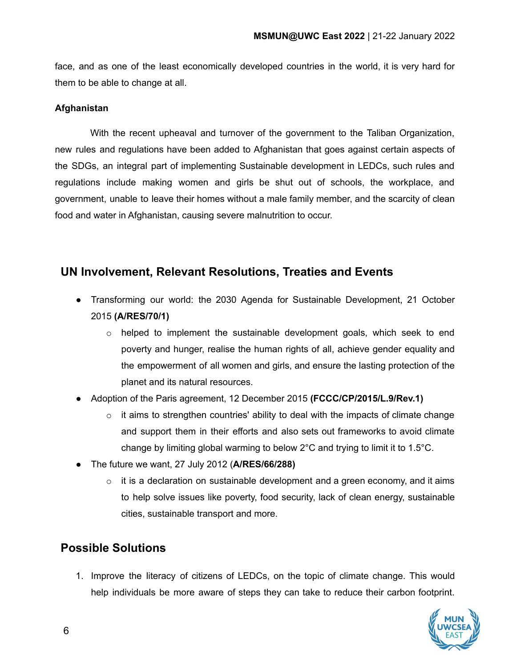face, and as one of the least economically developed countries in the world, it is very hard for them to be able to change at all.

#### **Afghanistan**

With the recent upheaval and turnover of the government to the Taliban Organization, new rules and regulations have been added to Afghanistan that goes against certain aspects of the SDGs, an integral part of implementing Sustainable development in LEDCs, such rules and regulations include making women and girls be shut out of schools, the workplace, and government, unable to leave their homes without a male family member, and the scarcity of clean food and water in Afghanistan, causing severe malnutrition to occur.

### **UN Involvement, Relevant Resolutions, Treaties and Events**

- Transforming our world: the 2030 Agenda for Sustainable Development, 21 October 2015 **(A/RES/70/1)**
	- o helped to implement the sustainable development goals, which seek to end poverty and hunger, realise the human rights of all, achieve gender equality and the empowerment of all women and girls, and ensure the lasting protection of the planet and its natural resources.
- Adoption of the Paris agreement, 12 December 2015 **(FCCC/CP/2015/L.9/Rev.1)**
	- $\circ$  it aims to strengthen countries' ability to deal with the impacts of climate change and support them in their efforts and also sets out frameworks to avoid climate change by limiting global warming to below 2°C and trying to limit it to 1.5°C.
- The future we want, 27 July 2012 (**A/RES/66/288)**
	- $\circ$  it is a declaration on sustainable development and a green economy, and it aims to help solve issues like poverty, food security, lack of clean energy, sustainable cities, sustainable transport and more.

### **Possible Solutions**

1. Improve the literacy of citizens of LEDCs, on the topic of climate change. This would help individuals be more aware of steps they can take to reduce their carbon footprint.

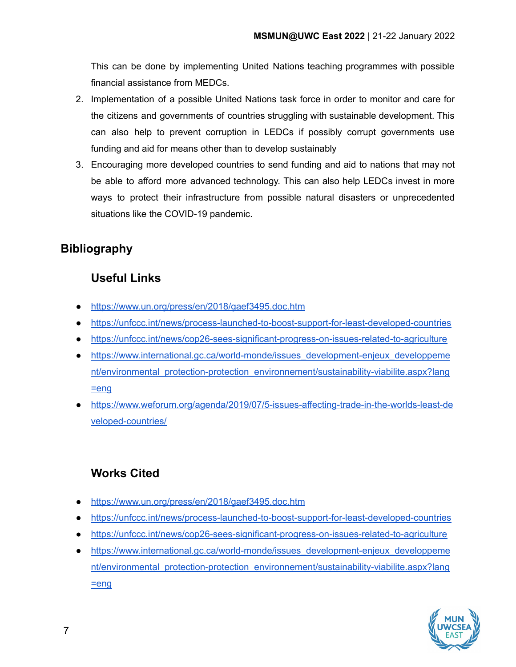This can be done by implementing United Nations teaching programmes with possible financial assistance from MEDCs.

- 2. Implementation of a possible United Nations task force in order to monitor and care for the citizens and governments of countries struggling with sustainable development. This can also help to prevent corruption in LEDCs if possibly corrupt governments use funding and aid for means other than to develop sustainably
- 3. Encouraging more developed countries to send funding and aid to nations that may not be able to afford more advanced technology. This can also help LEDCs invest in more ways to protect their infrastructure from possible natural disasters or unprecedented situations like the COVID-19 pandemic.

## **Bibliography**

## **Useful Links**

- <https://www.un.org/press/en/2018/gaef3495.doc.htm>
- <https://unfccc.int/news/process-launched-to-boost-support-for-least-developed-countries>
- <https://unfccc.int/news/cop26-sees-significant-progress-on-issues-related-to-agriculture>
- [https://www.international.gc.ca/world-monde/issues\\_development-enjeux\\_developpeme](https://www.international.gc.ca/world-monde/issues_development-enjeux_developpement/environmental_protection-protection_environnement/sustainability-viabilite.aspx?lang=eng) [nt/environmental\\_protection-protection\\_environnement/sustainability-viabilite.aspx?lang](https://www.international.gc.ca/world-monde/issues_development-enjeux_developpement/environmental_protection-protection_environnement/sustainability-viabilite.aspx?lang=eng) [=eng](https://www.international.gc.ca/world-monde/issues_development-enjeux_developpement/environmental_protection-protection_environnement/sustainability-viabilite.aspx?lang=eng)
- [https://www.weforum.org/agenda/2019/07/5-issues-affecting-trade-in-the-worlds-least-de](https://www.weforum.org/agenda/2019/07/5-issues-affecting-trade-in-the-worlds-least-developed-countries/) [veloped-countries/](https://www.weforum.org/agenda/2019/07/5-issues-affecting-trade-in-the-worlds-least-developed-countries/)

# **Works Cited**

- <https://www.un.org/press/en/2018/gaef3495.doc.htm>
- <https://unfccc.int/news/process-launched-to-boost-support-for-least-developed-countries>
- <https://unfccc.int/news/cop26-sees-significant-progress-on-issues-related-to-agriculture>
- [https://www.international.gc.ca/world-monde/issues\\_development-enjeux\\_developpeme](https://www.international.gc.ca/world-monde/issues_development-enjeux_developpement/environmental_protection-protection_environnement/sustainability-viabilite.aspx?lang=eng) [nt/environmental\\_protection-protection\\_environnement/sustainability-viabilite.aspx?lang](https://www.international.gc.ca/world-monde/issues_development-enjeux_developpement/environmental_protection-protection_environnement/sustainability-viabilite.aspx?lang=eng)  $=$ eng